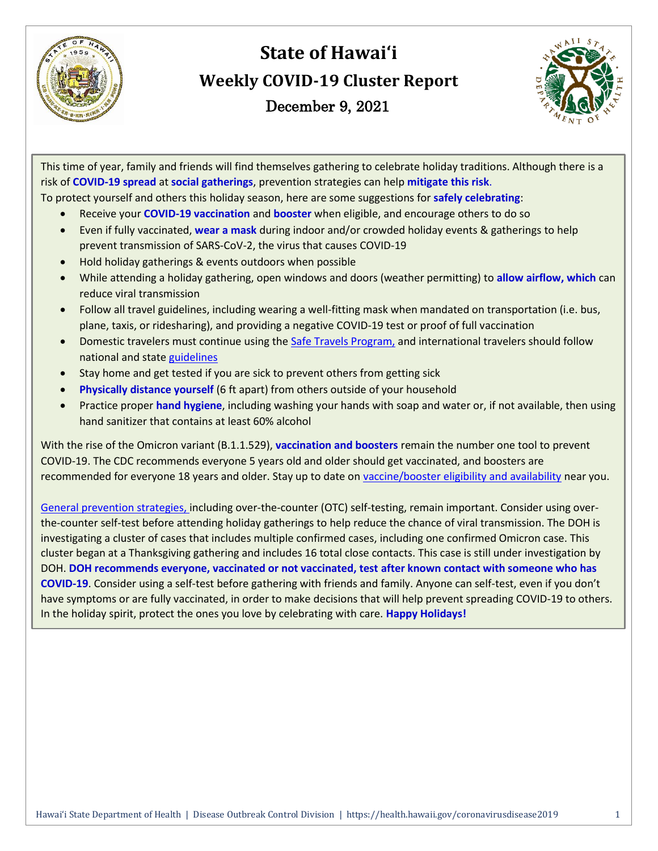

# **State of Hawai'i Weekly COVID-19 Cluster Report** December 9, 2021



This time of year, family and friends will find themselves gathering to celebrate holiday traditions. Although there is a risk of **COVID-19 spread** at **social gatherings**, prevention strategies can help **mitigate this risk**.

To protect yourself and others this holiday season, here are some suggestions for **safely celebrating**:

- Receive your **COVID-19 vaccination** and **booster** when eligible, and encourage others to do so
- Even if fully vaccinated, **wear a mask** during indoor and/or crowded holiday events & gatherings to help prevent transmission of SARS-CoV-2, the virus that causes COVID-19
- Hold holiday gatherings & events outdoors when possible
- While attending a holiday gathering, open windows and doors (weather permitting) to **allow airflow, which** can reduce viral transmission
- Follow all travel guidelines, including wearing a well-fitting mask when mandated on transportation (i.e. bus, plane, taxis, or ridesharing), and providing a negative COVID-19 test or proof of full vaccination
- Domestic travelers must continue using th[e Safe Travels Program,](https://hawaiicovid19.com/travel/) and international travelers should follow national and state [guidelines](https://www.hawaiitourismauthority.org/covid-19-updates/traveling-to-hawaii/international-travel/)
- Stay home and get tested if you are sick to prevent others from getting sick
- **Physically distance yourself** (6 ft apart) from others outside of your household
- Practice proper **hand hygiene**, including washing your hands with soap and water or, if not available, then using hand sanitizer that contains at least 60% alcohol

With the rise of the Omicron variant (B.1.1.529), **vaccination and boosters** remain the number one tool to prevent COVID-19. The CDC recommends everyone 5 years old and older should get vaccinated, and boosters are recommended for everyone 18 years and older. Stay up to date on [vaccine/booster eligibility and availability](https://hawaiicovid19.com/vaccine/) near you.

[General prevention strategies,](https://www.cdc.gov/coronavirus/2019-ncov/prevent-getting-sick/prevention.html) including over-the-counter (OTC) self-testing, remain important. Consider using overthe-counter self-test before attending holiday gatherings to help reduce the chance of viral transmission. The DOH is investigating a cluster of cases that includes multiple confirmed cases, including one confirmed Omicron case. This cluster began at a Thanksgiving gathering and includes 16 total close contacts. This case is still under investigation by DOH. **DOH recommends everyone, vaccinated or not vaccinated, test after known contact with someone who has COVID-19**. Consider using a self-test before gathering with friends and family. Anyone can self-test, even if you don't have symptoms or are fully vaccinated, in order to make decisions that will help prevent spreading COVID-19 to others. In the holiday spirit, protect the ones you love by celebrating with care. **Happy Holidays!**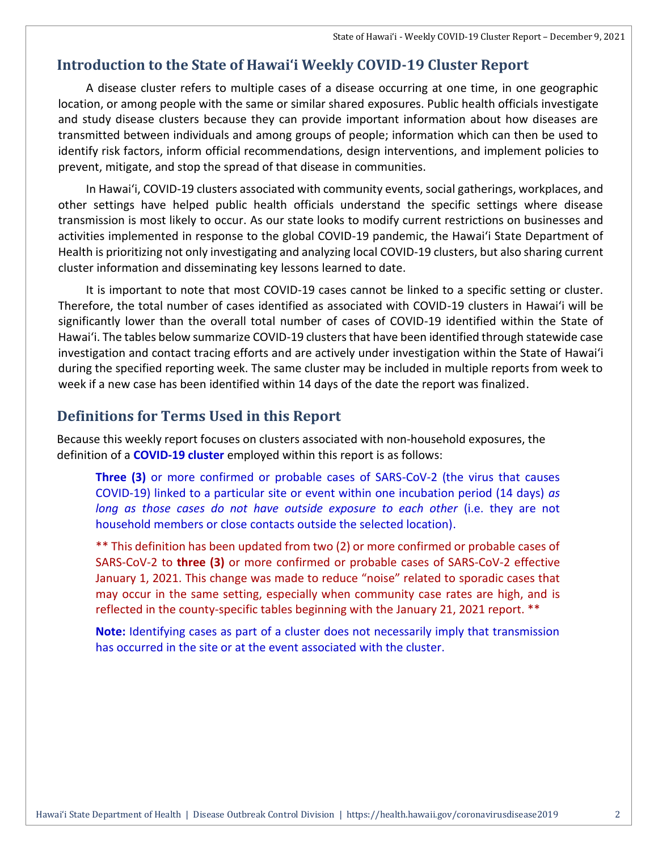#### **Introduction to the State of Hawai'i Weekly COVID-19 Cluster Report**

A disease cluster refers to multiple cases of a disease occurring at one time, in one geographic location, or among people with the same or similar shared exposures. Public health officials investigate and study disease clusters because they can provide important information about how diseases are transmitted between individuals and among groups of people; information which can then be used to identify risk factors, inform official recommendations, design interventions, and implement policies to prevent, mitigate, and stop the spread of that disease in communities.

In Hawai'i, COVID-19 clusters associated with community events, social gatherings, workplaces, and other settings have helped public health officials understand the specific settings where disease transmission is most likely to occur. As our state looks to modify current restrictions on businesses and activities implemented in response to the global COVID-19 pandemic, the Hawai'i State Department of Health is prioritizing not only investigating and analyzing local COVID-19 clusters, but also sharing current cluster information and disseminating key lessons learned to date.

It is important to note that most COVID-19 cases cannot be linked to a specific setting or cluster. Therefore, the total number of cases identified as associated with COVID-19 clusters in Hawai'i will be significantly lower than the overall total number of cases of COVID-19 identified within the State of Hawai'i. The tables below summarize COVID-19 clusters that have been identified through statewide case investigation and contact tracing efforts and are actively under investigation within the State of Hawai'i during the specified reporting week. The same cluster may be included in multiple reports from week to week if a new case has been identified within 14 days of the date the report was finalized.

#### **Definitions for Terms Used in this Report**

Because this weekly report focuses on clusters associated with non-household exposures, the definition of a **COVID-19 cluster** employed within this report is as follows:

**Three (3)** or more confirmed or probable cases of SARS-CoV-2 (the virus that causes COVID-19) linked to a particular site or event within one incubation period (14 days) *as long as those cases do not have outside exposure to each other* (i.e. they are not household members or close contacts outside the selected location).

\*\* This definition has been updated from two (2) or more confirmed or probable cases of SARS-CoV-2 to **three (3)** or more confirmed or probable cases of SARS-CoV-2 effective January 1, 2021. This change was made to reduce "noise" related to sporadic cases that may occur in the same setting, especially when community case rates are high, and is reflected in the county-specific tables beginning with the January 21, 2021 report. \*\*

**Note:** Identifying cases as part of a cluster does not necessarily imply that transmission has occurred in the site or at the event associated with the cluster.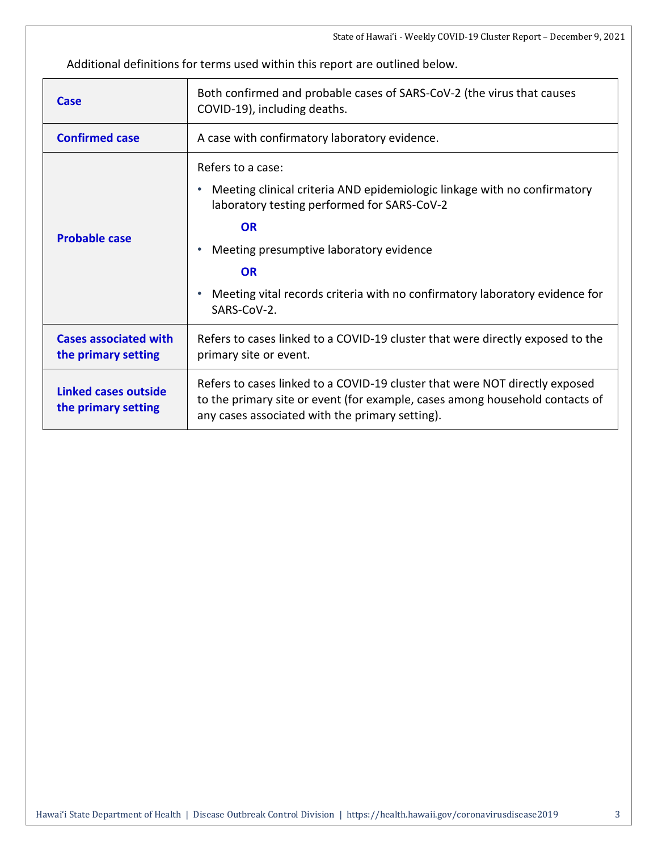Additional definitions for terms used within this report are outlined below.

| Case                                                | Both confirmed and probable cases of SARS-CoV-2 (the virus that causes<br>COVID-19), including deaths.                                                                                                                                                                                                          |  |  |  |
|-----------------------------------------------------|-----------------------------------------------------------------------------------------------------------------------------------------------------------------------------------------------------------------------------------------------------------------------------------------------------------------|--|--|--|
| <b>Confirmed case</b>                               | A case with confirmatory laboratory evidence.                                                                                                                                                                                                                                                                   |  |  |  |
| <b>Probable case</b>                                | Refers to a case:<br>Meeting clinical criteria AND epidemiologic linkage with no confirmatory<br>laboratory testing performed for SARS-CoV-2<br><b>OR</b><br>Meeting presumptive laboratory evidence<br><b>OR</b><br>Meeting vital records criteria with no confirmatory laboratory evidence for<br>SARS-CoV-2. |  |  |  |
| <b>Cases associated with</b><br>the primary setting | Refers to cases linked to a COVID-19 cluster that were directly exposed to the<br>primary site or event.                                                                                                                                                                                                        |  |  |  |
| <b>Linked cases outside</b><br>the primary setting  | Refers to cases linked to a COVID-19 cluster that were NOT directly exposed<br>to the primary site or event (for example, cases among household contacts of<br>any cases associated with the primary setting).                                                                                                  |  |  |  |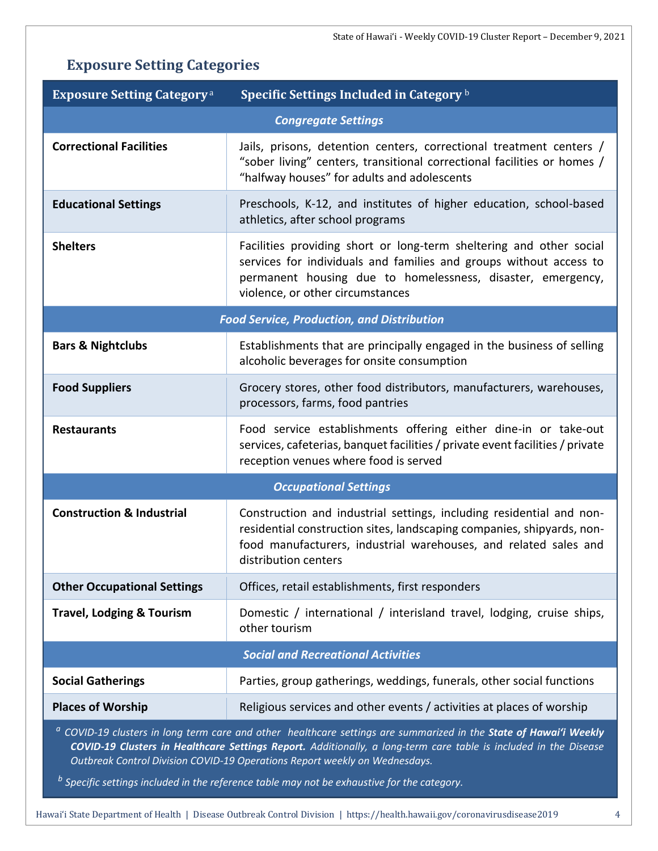## **Exposure Setting Categories**

| <b>Exposure Setting Category</b> <sup>a</sup>                                                                                                                                                                                                                                                                                  | Specific Settings Included in Category b                                                                                                                                                                                                     |  |  |  |  |  |
|--------------------------------------------------------------------------------------------------------------------------------------------------------------------------------------------------------------------------------------------------------------------------------------------------------------------------------|----------------------------------------------------------------------------------------------------------------------------------------------------------------------------------------------------------------------------------------------|--|--|--|--|--|
| <b>Congregate Settings</b>                                                                                                                                                                                                                                                                                                     |                                                                                                                                                                                                                                              |  |  |  |  |  |
| <b>Correctional Facilities</b>                                                                                                                                                                                                                                                                                                 | Jails, prisons, detention centers, correctional treatment centers /<br>"sober living" centers, transitional correctional facilities or homes /<br>"halfway houses" for adults and adolescents                                                |  |  |  |  |  |
| <b>Educational Settings</b>                                                                                                                                                                                                                                                                                                    | Preschools, K-12, and institutes of higher education, school-based<br>athletics, after school programs                                                                                                                                       |  |  |  |  |  |
| <b>Shelters</b>                                                                                                                                                                                                                                                                                                                | Facilities providing short or long-term sheltering and other social<br>services for individuals and families and groups without access to<br>permanent housing due to homelessness, disaster, emergency,<br>violence, or other circumstances |  |  |  |  |  |
| <b>Food Service, Production, and Distribution</b>                                                                                                                                                                                                                                                                              |                                                                                                                                                                                                                                              |  |  |  |  |  |
| <b>Bars &amp; Nightclubs</b>                                                                                                                                                                                                                                                                                                   | Establishments that are principally engaged in the business of selling<br>alcoholic beverages for onsite consumption                                                                                                                         |  |  |  |  |  |
| <b>Food Suppliers</b>                                                                                                                                                                                                                                                                                                          | Grocery stores, other food distributors, manufacturers, warehouses,<br>processors, farms, food pantries                                                                                                                                      |  |  |  |  |  |
| <b>Restaurants</b>                                                                                                                                                                                                                                                                                                             | Food service establishments offering either dine-in or take-out<br>services, cafeterias, banquet facilities / private event facilities / private<br>reception venues where food is served                                                    |  |  |  |  |  |
|                                                                                                                                                                                                                                                                                                                                | <b>Occupational Settings</b>                                                                                                                                                                                                                 |  |  |  |  |  |
| <b>Construction &amp; Industrial</b>                                                                                                                                                                                                                                                                                           | Construction and industrial settings, including residential and non-<br>residential construction sites, landscaping companies, shipyards, non-<br>food manufacturers, industrial warehouses, and related sales and<br>distribution centers   |  |  |  |  |  |
| <b>Other Occupational Settings</b>                                                                                                                                                                                                                                                                                             | Offices, retail establishments, first responders                                                                                                                                                                                             |  |  |  |  |  |
| <b>Travel, Lodging &amp; Tourism</b>                                                                                                                                                                                                                                                                                           | Domestic / international / interisland travel, lodging, cruise ships,<br>other tourism                                                                                                                                                       |  |  |  |  |  |
|                                                                                                                                                                                                                                                                                                                                | <b>Social and Recreational Activities</b>                                                                                                                                                                                                    |  |  |  |  |  |
| <b>Social Gatherings</b>                                                                                                                                                                                                                                                                                                       | Parties, group gatherings, weddings, funerals, other social functions                                                                                                                                                                        |  |  |  |  |  |
| <b>Places of Worship</b>                                                                                                                                                                                                                                                                                                       | Religious services and other events / activities at places of worship                                                                                                                                                                        |  |  |  |  |  |
| <sup>a</sup> COVID-19 clusters in long term care and other healthcare settings are summarized in the State of Hawai'i Weekly<br>COVID-19 Clusters in Healthcare Settings Report. Additionally, a long-term care table is included in the Disease<br>Outbreak Control Division COVID-19 Operations Report weekly on Wednesdays. |                                                                                                                                                                                                                                              |  |  |  |  |  |

*b Specific settings included in the reference table may not be exhaustive for the category.*

Hawai'i State Department of Health | Disease Outbreak Control Division | https://health.hawaii.gov/coronavirusdisease2019 4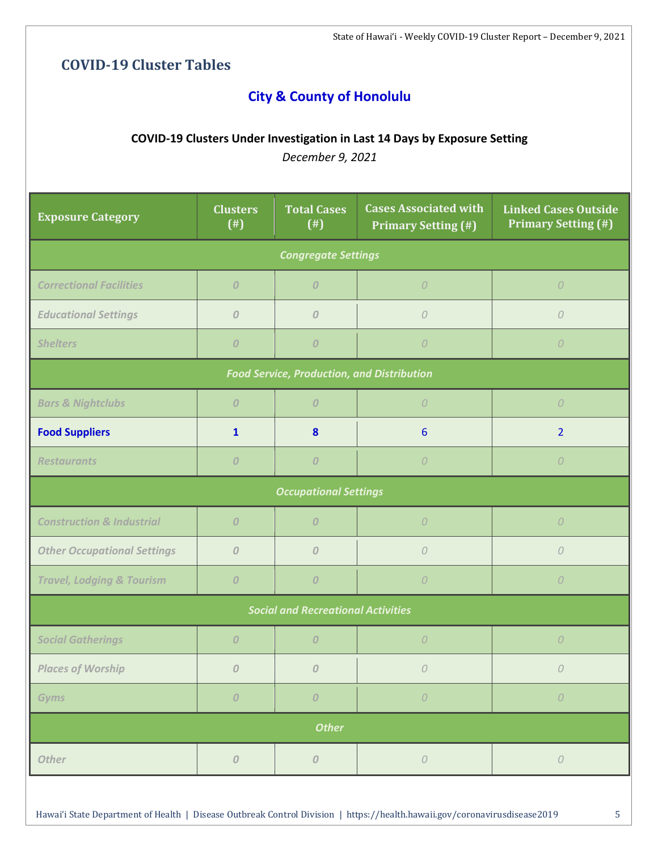## **COVID-19 Cluster Tables**

## **City & County of Honolulu**

#### **COVID-19 Clusters Under Investigation in Last 14 Days by Exposure Setting**

| <b>Exposure Category</b>                  | <b>Clusters</b><br>$($ # $)$                      | <b>Total Cases</b><br>$($ # $)$ | <b>Cases Associated with</b><br><b>Primary Setting (#)</b> | <b>Linked Cases Outside</b><br><b>Primary Setting (#)</b> |  |  |
|-------------------------------------------|---------------------------------------------------|---------------------------------|------------------------------------------------------------|-----------------------------------------------------------|--|--|
| <b>Congregate Settings</b>                |                                                   |                                 |                                                            |                                                           |  |  |
| <b>Correctional Facilities</b>            | $\overline{O}$                                    | $\overline{O}$                  | $\overline{O}$                                             | $\overline{O}$                                            |  |  |
| <b>Educational Settings</b>               | $\overline{O}$                                    | $\overline{O}$                  | $\mathcal{O}$                                              | 0                                                         |  |  |
| <b>Shelters</b>                           | $\boldsymbol{0}$                                  | $\boldsymbol{0}$                | $\cal O$                                                   | $\overline{O}$                                            |  |  |
|                                           | <b>Food Service, Production, and Distribution</b> |                                 |                                                            |                                                           |  |  |
| <b>Bars &amp; Nightclubs</b>              | $\overline{O}$                                    | $\overline{0}$                  | $\overline{O}$                                             | $\overline{O}$                                            |  |  |
| <b>Food Suppliers</b>                     | $\mathbf{1}$                                      | 8                               | 6                                                          | $\overline{2}$                                            |  |  |
| <b>Restaurants</b>                        | $\mathcal{O}$                                     | $\overline{O}$                  | $\overline{O}$                                             | $\overline{O}$                                            |  |  |
| <b>Occupational Settings</b>              |                                                   |                                 |                                                            |                                                           |  |  |
| <b>Construction &amp; Industrial</b>      | $\overline{O}$                                    | $\overline{O}$                  | $\overline{O}$                                             | $\overline{O}$                                            |  |  |
| <b>Other Occupational Settings</b>        | $\overline{O}$                                    | $\overline{O}$                  | $\mathcal{O}$                                              | $\mathcal O$                                              |  |  |
| <b>Travel, Lodging &amp; Tourism</b>      | $\overline{O}$                                    | $\overline{0}$                  | $\overline{O}$                                             | $\overline{O}$                                            |  |  |
| <b>Social and Recreational Activities</b> |                                                   |                                 |                                                            |                                                           |  |  |
| <b>Social Gatherings</b>                  | $\boldsymbol{0}$                                  | $\overline{O}$                  | $\overline{O}$                                             | $\overline{O}$                                            |  |  |
| <b>Places of Worship</b>                  | $\boldsymbol{0}$                                  | $\mathcal{O}$                   | $\overline{O}$                                             | $\overline{O}$                                            |  |  |
| <b>Gyms</b>                               | $\cal O$                                          | $\cal O$                        | ${\cal O}$                                                 | ${\cal O}$                                                |  |  |
| <b>Other</b>                              |                                                   |                                 |                                                            |                                                           |  |  |
| <b>Other</b>                              | ${\cal O}$                                        | ${\cal O}$                      | ${\cal O}$                                                 | ${\cal O}$                                                |  |  |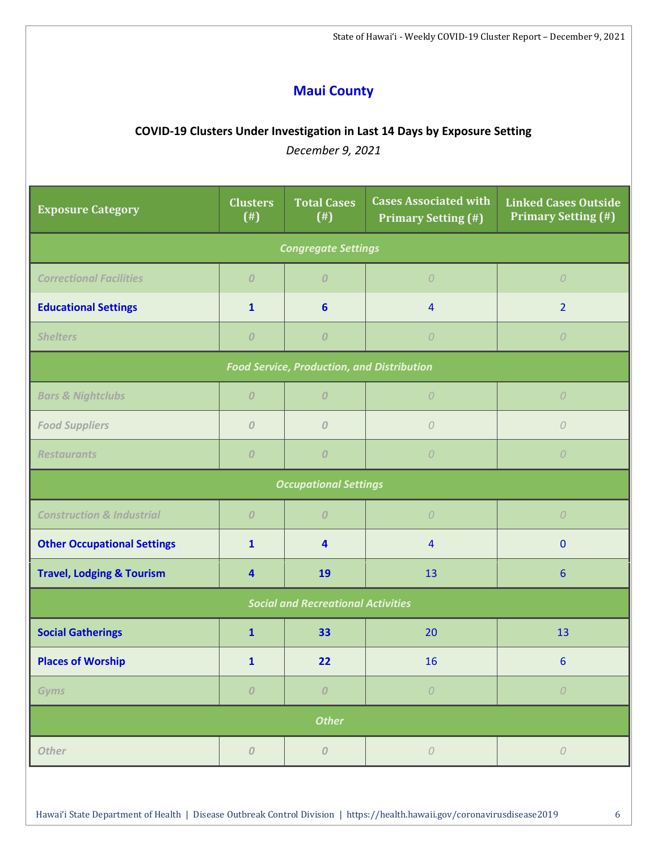## **Maui County**

#### **COVID-19 Clusters Under Investigation in Last 14 Days by Exposure Setting**

| <b>Exposure Category</b>                          | <b>Clusters</b><br>$($ # $)$ | <b>Total Cases</b><br>$($ # $)$ | <b>Cases Associated with</b><br><b>Primary Setting (#)</b> | <b>Linked Cases Outside</b><br><b>Primary Setting (#)</b> |  |
|---------------------------------------------------|------------------------------|---------------------------------|------------------------------------------------------------|-----------------------------------------------------------|--|
|                                                   |                              | <b>Congregate Settings</b>      |                                                            |                                                           |  |
| <b>Correctional Facilities</b>                    | $\overline{0}$               | $\overline{O}$                  | $\overline{O}$                                             | $\overline{O}$                                            |  |
| <b>Educational Settings</b>                       | $\mathbf{1}$                 | 6                               | $\overline{4}$                                             | $\overline{2}$                                            |  |
| <b>Shelters</b>                                   | $\boldsymbol{0}$             | $\boldsymbol{O}$                | ${\cal O}$                                                 | $\overline{O}$                                            |  |
| <b>Food Service, Production, and Distribution</b> |                              |                                 |                                                            |                                                           |  |
| <b>Bars &amp; Nightclubs</b>                      | $\overline{O}$               | $\overline{0}$                  | $\overline{O}$                                             | $\overline{O}$                                            |  |
| <b>Food Suppliers</b>                             | $\cal O$                     | $\mathcal O$                    | ${\cal O}$                                                 | ${\cal O}$                                                |  |
| <b>Restaurants</b>                                | $\overline{0}$               | $\overline{O}$                  | $\overline{O}$                                             | $\overline{O}$                                            |  |
| <b>Occupational Settings</b>                      |                              |                                 |                                                            |                                                           |  |
| <b>Construction &amp; Industrial</b>              | $\overline{O}$               | $\boldsymbol{O}$                | ${\cal O}$                                                 | $\overline{O}$                                            |  |
| <b>Other Occupational Settings</b>                | $\mathbf{1}$                 | $\overline{\mathbf{4}}$         | $\overline{4}$                                             | $\mathbf{0}$                                              |  |
| <b>Travel, Lodging &amp; Tourism</b>              | $\overline{\mathbf{4}}$      | 19                              | 13                                                         | $6\phantom{1}6$                                           |  |
| <b>Social and Recreational Activities</b>         |                              |                                 |                                                            |                                                           |  |
| <b>Social Gatherings</b>                          | $\mathbf{1}$                 | 33                              | 20                                                         | 13                                                        |  |
| <b>Places of Worship</b>                          | $\mathbf{1}$                 | 22                              | 16                                                         | 6 <sup>1</sup>                                            |  |
| <b>Gyms</b>                                       | $\cal O$                     | $\cal O$                        | ${\cal O}$                                                 | ${\cal O}$                                                |  |
| <b>Other</b>                                      |                              |                                 |                                                            |                                                           |  |
| <b>Other</b>                                      | ${\cal O}$                   | $\cal O$                        | ${\cal O}$                                                 | ${\cal O}$                                                |  |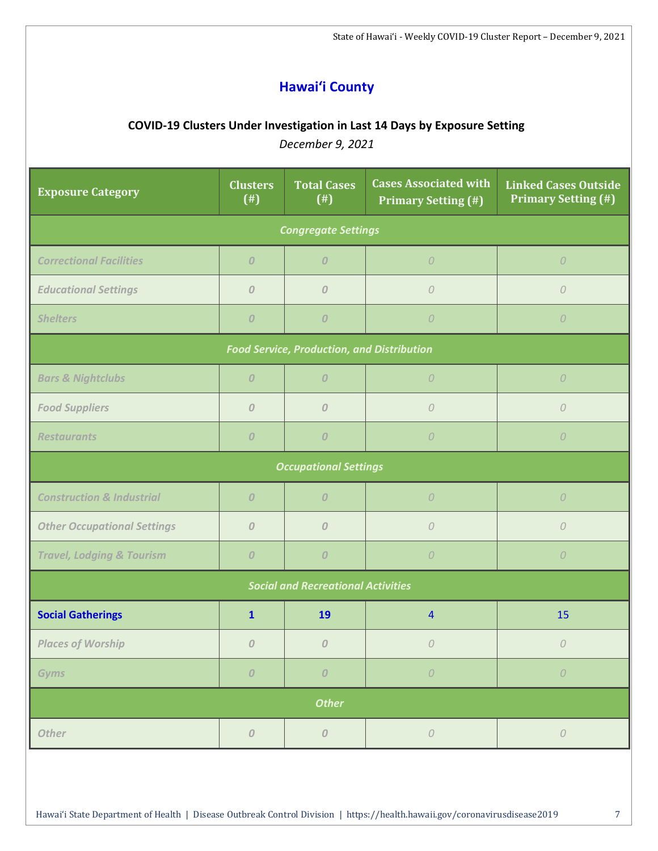## **Hawai'i County**

#### **COVID-19 Clusters Under Investigation in Last 14 Days by Exposure Setting**

| <b>Exposure Category</b>                          | <b>Clusters</b><br>$($ # $)$ | <b>Total Cases</b><br>$($ # $)$ | <b>Cases Associated with</b><br><b>Primary Setting (#)</b> | <b>Linked Cases Outside</b><br><b>Primary Setting (#)</b> |  |
|---------------------------------------------------|------------------------------|---------------------------------|------------------------------------------------------------|-----------------------------------------------------------|--|
| <b>Congregate Settings</b>                        |                              |                                 |                                                            |                                                           |  |
| <b>Correctional Facilities</b>                    | $\overline{O}$               | $\boldsymbol{O}$                | $\cal O$                                                   | $\overline{O}$                                            |  |
| <b>Educational Settings</b>                       | $\overline{O}$               | $\overline{0}$                  | $\overline{O}$                                             | $\cal O$                                                  |  |
| <b>Shelters</b>                                   | $\overline{O}$               | $\boldsymbol{0}$                | $\cal O$                                                   | $\overline{O}$                                            |  |
| <b>Food Service, Production, and Distribution</b> |                              |                                 |                                                            |                                                           |  |
| <b>Bars &amp; Nightclubs</b>                      | $\overline{0}$               | $\overline{O}$                  | $\overline{O}$                                             | $\overline{O}$                                            |  |
| <b>Food Suppliers</b>                             | $\mathcal O$                 | $\overline{O}$                  | 0                                                          | $\mathcal O$                                              |  |
| <b>Restaurants</b>                                | $\overline{O}$               | $\boldsymbol{O}$                | $\overline{O}$                                             | $\overline{O}$                                            |  |
|                                                   |                              | <b>Occupational Settings</b>    |                                                            |                                                           |  |
| <b>Construction &amp; Industrial</b>              | $\overline{O}$               | $\overline{O}$                  | $\overline{O}$                                             | $\overline{O}$                                            |  |
| <b>Other Occupational Settings</b>                | $\overline{O}$               | $\boldsymbol{0}$                | $\mathcal{O}$                                              | $\cal O$                                                  |  |
| <b>Travel, Lodging &amp; Tourism</b>              | $\overline{0}$               | $\overline{O}$                  | $\overline{O}$                                             | $\overline{O}$                                            |  |
| <b>Social and Recreational Activities</b>         |                              |                                 |                                                            |                                                           |  |
| <b>Social Gatherings</b>                          | $\mathbf{1}$                 | 19                              | $\overline{4}$                                             | 15                                                        |  |
| <b>Places of Worship</b>                          | $\mathcal{O}$                | $\overline{0}$                  | $\overline{O}$                                             | 0                                                         |  |
| <b>Gyms</b>                                       | $\cal O$                     | $\pmb{\mathit{O}}$              | ${\cal O}$                                                 | ${\cal O}$                                                |  |
| <b>Other</b>                                      |                              |                                 |                                                            |                                                           |  |
| <b>Other</b>                                      | ${\cal O}$                   | ${\cal O}$                      | ${\cal O}$                                                 | ${\cal O}$                                                |  |